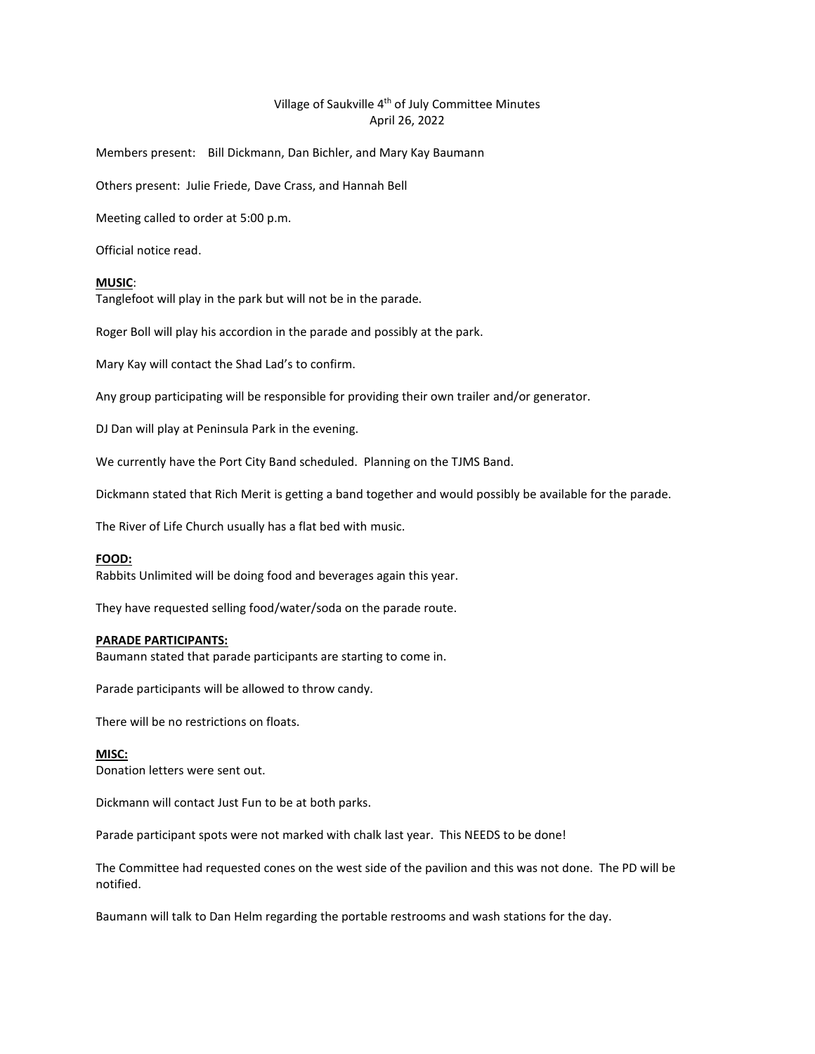# Village of Saukville 4<sup>th</sup> of July Committee Minutes April 26, 2022

Members present: Bill Dickmann, Dan Bichler, and Mary Kay Baumann

Others present: Julie Friede, Dave Crass, and Hannah Bell

Meeting called to order at 5:00 p.m.

Official notice read.

#### **MUSIC**:

Tanglefoot will play in the park but will not be in the parade.

Roger Boll will play his accordion in the parade and possibly at the park.

Mary Kay will contact the Shad Lad's to confirm.

Any group participating will be responsible for providing their own trailer and/or generator.

DJ Dan will play at Peninsula Park in the evening.

We currently have the Port City Band scheduled. Planning on the TJMS Band.

Dickmann stated that Rich Merit is getting a band together and would possibly be available for the parade.

The River of Life Church usually has a flat bed with music.

## **FOOD:**

Rabbits Unlimited will be doing food and beverages again this year.

They have requested selling food/water/soda on the parade route.

#### **PARADE PARTICIPANTS:**

Baumann stated that parade participants are starting to come in.

Parade participants will be allowed to throw candy.

There will be no restrictions on floats.

# **MISC:**

Donation letters were sent out.

Dickmann will contact Just Fun to be at both parks.

Parade participant spots were not marked with chalk last year. This NEEDS to be done!

The Committee had requested cones on the west side of the pavilion and this was not done. The PD will be notified.

Baumann will talk to Dan Helm regarding the portable restrooms and wash stations for the day.